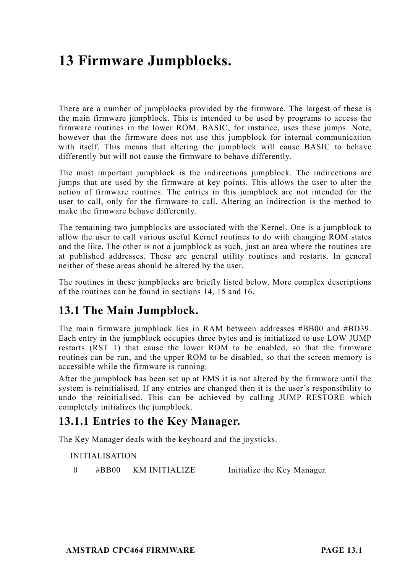# **13 Firmware Jumpblocks.**

There are a number of jumpblocks provided by the firmware. The largest of these is the main firmware jumpblock. This is intended to be used by programs to access the firmware routines in the lower ROM. BASIC, for instance, uses these jumps. Note, however that the firmware does not use this jumpblock for internal communication with itself. This means that altering the jumpblock will cause BASIC to behave differently but will not cause the firmware to behave differently.

The most important jumpblock is the indirections jumpblock. The indirections are jumps that are used by the firmware at key points. This allows the user to alter the action of firmware routines. The entries in this jumpblock are not intended for the user to call, only for the firmware to call. Altering an indirection is the method to make the firmware behave differently.

The remaining two jumpblocks are associated with the Kernel. One is a jumpblock to allow the user to call various useful Kernel routines to do with changing ROM states and the like. The other is not a jumpblock as such, just an area where the routines are at published addresses. These are general utility routines and restarts. In general neither of these areas should be altered by the user.

The routines in these jumpblocks are briefly listed below. More complex descriptions of the routines can be found in sections 14, 15 and 16.

### **13.1 The Main Jumpblock.**

The main firmware jumpblock lies in RAM between addresses #BB00 and #BD39. Each entry in the jumpblock occupies three bytes and is initialized to use LOW JUMP restarts (RST 1) that cause the lower ROM to be enabled, so that the firmware routines can be run, and the upper ROM to be disabled, so that the screen memory is accessible while the firmware is running.

After the jumpblock has been set up at EMS it is not altered by the firmware until the system is reinitialised. If any entries are changed then it is the user's responsibility to undo the reinitialised. This can be achieved by calling JUMP RESTORE which completely initializes the jumpblock.

### **13.1.1 Entries to the Key Manager.**

The Key Manager deals with the keyboard and the joysticks.

INITIALISATION

0 #BB00 KM INITIALIZE Initialize the Key Manager.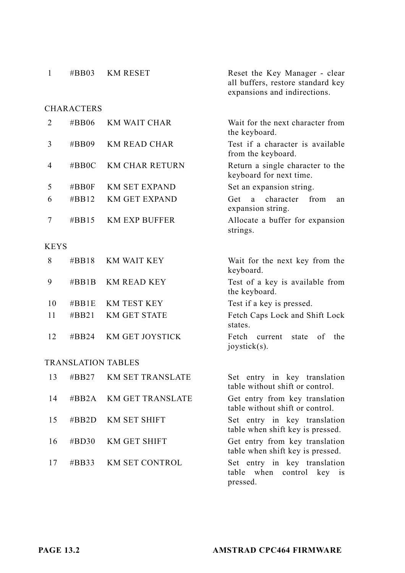| $\mathbf{1}$ | $\#BB03$          | <b>KM RESET</b>         | Reset the Key Manager - clear<br>all buffers, restore standard key<br>expansions and indirections. |
|--------------|-------------------|-------------------------|----------------------------------------------------------------------------------------------------|
|              | <b>CHARACTERS</b> |                         |                                                                                                    |
| 2            | #BB06             | KM WAIT CHAR            | Wait for the next character from<br>the keyboard.                                                  |
| 3            | $\#BB09$          | KM READ CHAR            | Test if a character is available<br>from the keyboard.                                             |
| 4            | $\#BBOC$          | <b>KM CHAR RETURN</b>   | Return a single character to the<br>keyboard for next time.                                        |
| 5            | $\#BB0F$          | <b>KM SET EXPAND</b>    | Set an expansion string.                                                                           |
| 6            | $\#BB12$          | <b>KM GET EXPAND</b>    | character<br><b>Get</b><br>a<br>from<br>an<br>expansion string.                                    |
| 7            | $\#BB15$          | <b>KM EXP BUFFER</b>    | Allocate a buffer for expansion<br>strings.                                                        |
| <b>KEYS</b>  |                   |                         |                                                                                                    |
| 8            | $\#BB18$          | <b>KM WAIT KEY</b>      | Wait for the next key from the<br>keyboard.                                                        |
| 9            | $\#BB1B$          | <b>KM READ KEY</b>      | Test of a key is available from<br>the keyboard.                                                   |
| 10           | $\#BB1E$          | KM TEST KEY             | Test if a key is pressed.                                                                          |
| 11           | $\#BB21$          | <b>KM GET STATE</b>     | Fetch Caps Lock and Shift Lock<br>states.                                                          |
| 12           | $\#BB24$          | KM GET JOYSTICK         | Fetch<br>of<br>the<br>current<br>state<br>joystick(s).                                             |
|              |                   | TRANSLATION TABLES      |                                                                                                    |
| 13           | $\#BB27$          | <b>KM SET TRANSLATE</b> | Set entry in key translation<br>table without shift or control.                                    |
| 14           | $\#BB2A$          | <b>KM GET TRANSLATE</b> | Get entry from key translation<br>table without shift or control.                                  |
| 15           | $\#BB2D$          | <b>KM SET SHIFT</b>     | Set entry in key translation<br>table when shift key is pressed.                                   |
| 16           | #BD30             | KM GET SHIFT            | Get entry from key translation<br>table when shift key is pressed.                                 |
| 17           | $\#BB33$          | <b>KM SET CONTROL</b>   | Set entry in key translation<br>when<br>table<br>control<br>key<br>1S<br>pressed.                  |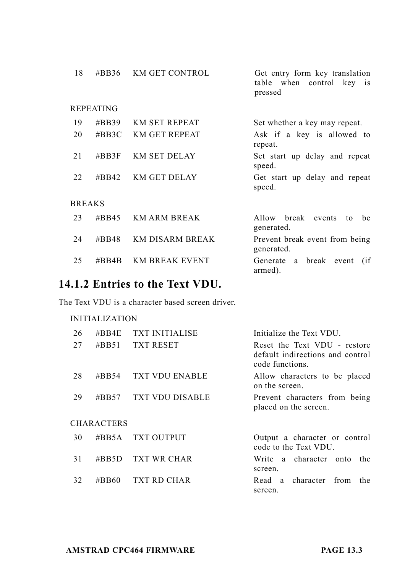| 18            | #BB36                     | <b>KM GET CONTROL</b>  | Get entry form key translation<br>table when control key is<br>pressed |
|---------------|---------------------------|------------------------|------------------------------------------------------------------------|
|               | <b>REPEATING</b>          |                        |                                                                        |
| 19            | #BB39                     | <b>KM SET REPEAT</b>   | Set whether a key may repeat.                                          |
| 20            | $\#BB3C$                  | <b>KM GET REPEAT</b>   | Ask if a key is allowed to<br>repeat.                                  |
| 21            | $\#BB3F$                  | <b>KM SET DELAY</b>    | Set start up delay and repeat<br>speed.                                |
| 22            | $\# \text{B} \text{B}$ 42 | <b>KM GET DELAY</b>    | Get start up delay and repeat<br>speed.                                |
| <b>BREAKS</b> |                           |                        |                                                                        |
| 23            | $\#BB45$                  | <b>KM ARM BREAK</b>    | Allow break<br>be<br>events<br>to<br>generated.                        |
| 24            | $\#BB48$                  | <b>KM DISARM BREAK</b> | Prevent break event from being<br>generated.                           |
| 25            | $\#BBAB$                  | <b>KM BREAK EVENT</b>  | break event<br>Generate a<br>(i f)<br>armed).                          |

## **14.1.2 Entries to the Text VDU.**

The Text VDU is a character based screen driver.

| 26 | $\# \text{BBAE}$  | <b>TXT INITIALISE</b>  | Initialize the Text VDU.                                                            |
|----|-------------------|------------------------|-------------------------------------------------------------------------------------|
| 27 | #BB51             | <b>TXT RESET</b>       | Reset the Text VDU - restore<br>default indirections and control<br>code functions. |
| 28 | #BB54             | <b>TXT VDU ENABLE</b>  | Allow characters to be placed<br>on the screen.                                     |
| 29 | $\#BB57$          | <b>TXT VDU DISABLE</b> | Prevent characters from being<br>placed on the screen.                              |
|    | <b>CHARACTERS</b> |                        |                                                                                     |
| 30 | #BB5A             | <b>TXT OUTPUT</b>      | Output a character or control<br>code to the Text VDU.                              |
| 31 | #BB5D             | <b>TXT WR CHAR</b>     | Write a character onto<br>the<br>screen.                                            |
| 32 | #BB60             | TXT RD CHAR            | Read a character from<br>the.<br>screen.                                            |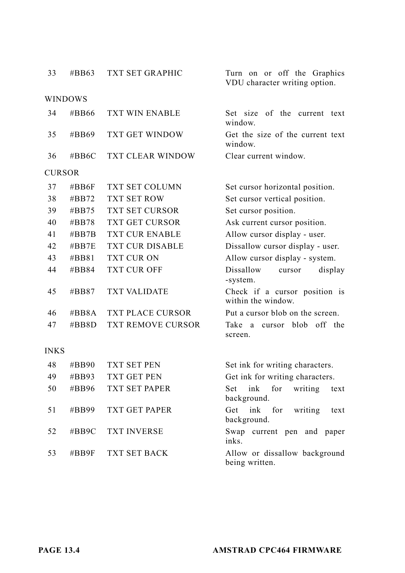| 33   | #BB63         | TXT SET GRAPHIC      | Turn on or off the Graphics<br>VDU character writing option. |
|------|---------------|----------------------|--------------------------------------------------------------|
|      | WINDOWS       |                      |                                                              |
| 34   | #BB66         | TXT WIN ENABLE       | of the current text<br>Set size<br>window.                   |
| 35   | #BB69         | TXT GET WINDOW       | Get the size of the current text<br>window.                  |
| 36   | #BB6C         | TXT CLEAR WINDOW     | Clear current window.                                        |
|      | <b>CURSOR</b> |                      |                                                              |
| 37   | #BB6F         | TXT SET COLUMN       | Set cursor horizontal position.                              |
| 38   | $\#BB72$      | <b>TXT SET ROW</b>   | Set cursor vertical position.                                |
| 39   | #BB75         | TXT SET CURSOR       | Set cursor position.                                         |
| 40   | #BB78         | TXT GET CURSOR       | Ask current cursor position.                                 |
| 41   | # $BB7B$      | TXT CUR ENABLE       | Allow cursor display - user.                                 |
| 42   | $\#BB7E$      | TXT CUR DISABLE      | Dissallow cursor display - user.                             |
| 43   | $\#BB81$      | TXT CUR ON           | Allow cursor display - system.                               |
| 44   | #BB84         | TXT CUR OFF          | Dissallow<br>display<br>cursor<br>-system.                   |
| 45   | #BB87         | <b>TXT VALIDATE</b>  | Check if a cursor position is<br>within the window.          |
| 46   | #BB8A         | TXT PLACE CURSOR     | Put a cursor blob on the screen.                             |
| 47   | $\#BB8D$      | TXT REMOVE CURSOR    | blob<br>off the<br>Take<br>a<br>cursor<br>screen.            |
| INKS |               |                      |                                                              |
| 48   | #BB90         | <b>TXT SET PEN</b>   | Set ink for writing characters.                              |
| 49   | #BB93         | TXT GET PEN          | Get ink for writing characters.                              |
| 50   | #BB96         | TXT SET PAPER        | ink<br>Set<br>for<br>writing<br>text<br>background.          |
| 51   | #BB99         | <b>TXT GET PAPER</b> | ink<br>for<br>Get<br>writing<br>text<br>background.          |
| 52   | #BB9C         | <b>TXT INVERSE</b>   | Swap current pen and paper<br>inks.                          |
| 53   | #BB9F         | TXT SET BACK         | Allow or dissallow background<br>being written.              |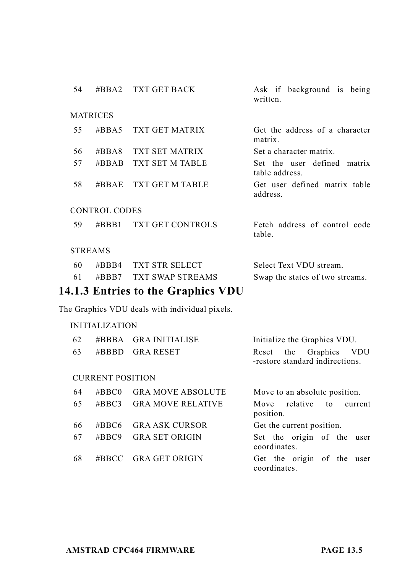| 54 | #BBA2                   | TXT GET BACK                                   | Ask if background is being<br>written.                            |  |  |
|----|-------------------------|------------------------------------------------|-------------------------------------------------------------------|--|--|
|    | <b>MATRICES</b>         |                                                |                                                                   |  |  |
| 55 | $\#BBA5$                | <b>TXT GET MATRIX</b>                          | Get the address of a character<br>matrix.                         |  |  |
| 56 | $\#BBA8$                | TXT SET MATRIX                                 | Set a character matrix.                                           |  |  |
| 57 | $\#BBAB$                | TXT SET M TABLE                                | Set the user defined matrix<br>table address.                     |  |  |
| 58 | $\#BBAE$                | TXT GET M TABLE                                | Get user defined matrix table<br>address.                         |  |  |
|    | <b>CONTROL CODES</b>    |                                                |                                                                   |  |  |
| 59 | $\#BBB1$                | TXT GET CONTROLS                               | Fetch address of control code<br>table.                           |  |  |
|    | <b>STREAMS</b>          |                                                |                                                                   |  |  |
| 60 | # $R$ <sub>R</sub> RA   | <b>TXT STR SELECT</b>                          | Select Text VDU stream.                                           |  |  |
| 61 | $\#$ BBR7               | <b>TXT SWAP STREAMS</b>                        | Swap the states of two streams.                                   |  |  |
|    |                         | 14.1.3 Entries to the Graphics VDU             |                                                                   |  |  |
|    |                         | The Graphics VDU deals with individual pixels. |                                                                   |  |  |
|    | <b>INITIALIZATION</b>   |                                                |                                                                   |  |  |
| 62 | #BBBA                   | <b>GRA INITIALISE</b>                          | Initialize the Graphics VDU.                                      |  |  |
| 63 | $\#BBBD$                | <b>GRA RESET</b>                               | the Graphics<br>Reset<br>- VDU<br>-restore standard indirections. |  |  |
|    | <b>CURRENT POSITION</b> |                                                |                                                                   |  |  |
| 64 | #BBC0                   | <b>GRA MOVE ABSOLUTE</b>                       | Move to an absolute position.                                     |  |  |
| 65 | #BBC3                   | <b>GRA MOVE RELATIVE</b>                       | relative<br>Move<br>to<br>current<br>position.                    |  |  |
| 66 | $\#BBC6$                | <b>GRA ASK CURSOR</b>                          | Get the current position.                                         |  |  |
| 67 | #BBC9                   | <b>GRA SET ORIGIN</b>                          | Set the origin of the<br>user<br>coordinates.                     |  |  |

68 #BBCC GRA GET ORIGIN Get the origin of the user coordinates.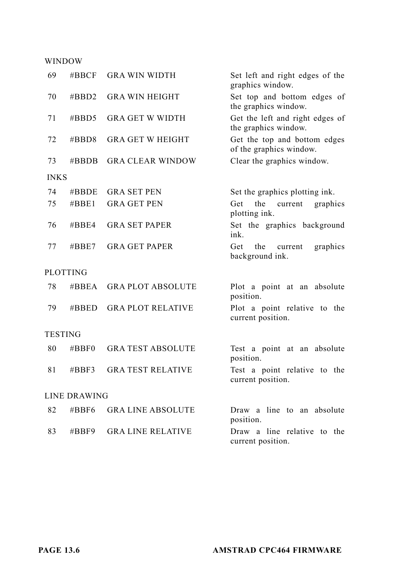#### WINDOW

| 69             | $\#BBCF$        | <b>GRA WIN WIDTH</b>     | Set left and right edges of the<br>graphics window.     |
|----------------|-----------------|--------------------------|---------------------------------------------------------|
| 70             | #BBD2           | <b>GRA WIN HEIGHT</b>    | Set top and bottom edges of<br>the graphics window.     |
| 71             | $\#$ BBD5       | <b>GRA GET W WIDTH</b>   | Get the left and right edges of<br>the graphics window. |
| 72             | $\#$ BBD8       | <b>GRA GET W HEIGHT</b>  | Get the top and bottom edges<br>of the graphics window. |
| 73             | #BBDB           | <b>GRA CLEAR WINDOW</b>  | Clear the graphics window.                              |
| <b>INKS</b>    |                 |                          |                                                         |
| 74             | $\#BBDE$        | <b>GRA SET PEN</b>       | Set the graphics plotting ink.                          |
| 75             | #BBE1           | <b>GRA GET PEN</b>       | Get<br>the<br>current<br>graphics<br>plotting ink.      |
| 76             | $\#BBE4$        | <b>GRA SET PAPER</b>     | Set the graphics background<br>ink.                     |
| 77             | $\#BBE7$        | <b>GRA GET PAPER</b>     | Get<br>the<br>current<br>graphics<br>background ink.    |
|                | <b>PLOTTING</b> |                          |                                                         |
| 78             | $\#BBEA$        | <b>GRA PLOT ABSOLUTE</b> | Plot a point at an absolute<br>position.                |
| 79             | #BBED           | <b>GRA PLOT RELATIVE</b> | Plot a point relative to the<br>current position.       |
| <b>TESTING</b> |                 |                          |                                                         |
| 80             | $\#BBFO$        | <b>GRA TEST ABSOLUTE</b> | Test a point at an absolute<br>position.                |
| 81             | $\#BBF3$        | <b>GRA TEST RELATIVE</b> | Test a point relative to the<br>current position.       |
|                | LINE DRAWING    |                          |                                                         |
| 82             | $\#BBF6$        | <b>GRALINE ABSOLUTE</b>  | Draw a line to an absolute<br>position.                 |
| 83             | $\#BBF9$        | <b>GRALINE RELATIVE</b>  | Draw a line relative to the<br>current position.        |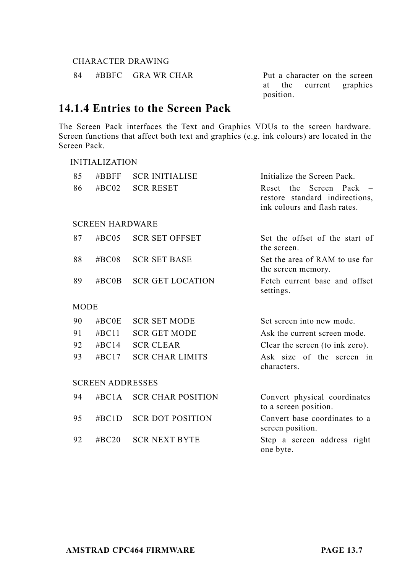#### CHARACTER DRAWING

INITIALIZATION

84 #BBFC GRA WR CHAR Put a character on the screen

at the current graphics position.

## **14.1.4 Entries to the Screen Pack**

The Screen Pack interfaces the Text and Graphics VDUs to the screen hardware. Screen functions that affect both text and graphics (e.g. ink colours) are located in the Screen Pack.

| 85<br>86    | $\#BBFF$<br>#BC02       | <b>SCR INITIALISE</b><br><b>SCR RESET</b> | Initialize the Screen Pack.<br>Screen Pack<br>Reset the<br>restore standard indirections,<br>ink colours and flash rates. |
|-------------|-------------------------|-------------------------------------------|---------------------------------------------------------------------------------------------------------------------------|
|             | <b>SCREEN HARDWARE</b>  |                                           |                                                                                                                           |
| 87          | $\#BC05$                | <b>SCR SET OFFSET</b>                     | Set the offset of the start of<br>the screen.                                                                             |
| 88          | #BC08                   | <b>SCR SET BASE</b>                       | Set the area of RAM to use for<br>the screen memory.                                                                      |
| 89          | $\#BCOB$                | <b>SCR GET LOCATION</b>                   | Fetch current base and offset<br>settings.                                                                                |
| <b>MODE</b> |                         |                                           |                                                                                                                           |
| 90          | $\# \text{BCOE}$        | <b>SCR SET MODE</b>                       | Set screen into new mode.                                                                                                 |
| 91          | # $BC11$                | <b>SCR GET MODE</b>                       | Ask the current screen mode.                                                                                              |
| 92          | #BC14                   | <b>SCR CLEAR</b>                          | Clear the screen (to ink zero).                                                                                           |
| 93          | $\#BC17$                | <b>SCR CHAR LIMITS</b>                    | Ask size of the screen in<br>characters.                                                                                  |
|             | <b>SCREEN ADDRESSES</b> |                                           |                                                                                                                           |
| 94          | $\#BC1A$                | <b>SCR CHAR POSITION</b>                  | Convert physical coordinates<br>to a screen position.                                                                     |
| 95          | $\#BC1D$                | <b>SCR DOT POSITION</b>                   | Convert base coordinates to a<br>screen position.                                                                         |
| 92          | $\#$ BC20               | <b>SCR NEXT BYTE</b>                      | Step a screen address right<br>one byte.                                                                                  |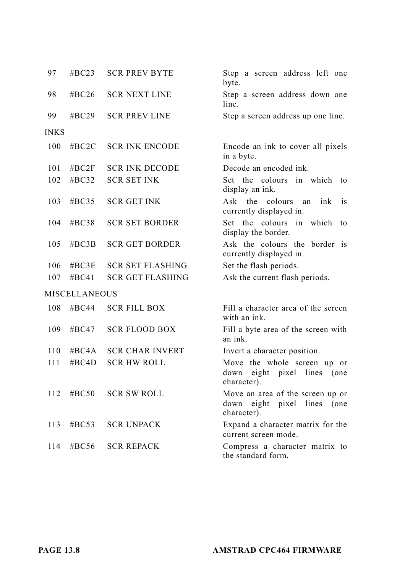| 97          | $\#BC23$              | <b>SCR PREV BYTE</b>    | Step a screen address left one<br>byte.                                                 |
|-------------|-----------------------|-------------------------|-----------------------------------------------------------------------------------------|
| 98          | #BC26                 | <b>SCR NEXT LINE</b>    | Step a screen address down one<br>line.                                                 |
| 99          | # $BC29$              | <b>SCR PREV LINE</b>    | Step a screen address up one line.                                                      |
| <b>INKS</b> |                       |                         |                                                                                         |
| 100         | $\#$ BC <sub>2C</sub> | <b>SCR INK ENCODE</b>   | Encode an ink to cover all pixels<br>in a byte.                                         |
| 101         | #BC2F                 | <b>SCR INK DECODE</b>   | Decode an encoded ink.                                                                  |
| 102         | #BC32                 | <b>SCR SET INK</b>      | Set the colours in which<br>to<br>display an ink.                                       |
| 103         | #BC35                 | <b>SCR GET INK</b>      | Ask the<br>colours<br>ink<br>is<br>an<br>currently displayed in.                        |
| 104         | # $BC38$              | <b>SCR SET BORDER</b>   | Set the colours in which<br>to<br>display the border.                                   |
| 105         | $\#BC3B$              | <b>SCR GET BORDER</b>   | Ask the colours the border is<br>currently displayed in.                                |
| 106         | $\#BC3E$              | <b>SCR SET FLASHING</b> | Set the flash periods.                                                                  |
| 107         | #BC41                 | <b>SCR GET FLASHING</b> | Ask the current flash periods.                                                          |
|             | <b>MISCELLANEOUS</b>  |                         |                                                                                         |
| 108         | # $BC44$              | <b>SCR FILL BOX</b>     | Fill a character area of the screen<br>with an ink.                                     |
| 109         | $\#BC47$              | <b>SCR FLOOD BOX</b>    | Fill a byte area of the screen with<br>an ink.                                          |
| 110         | $\#BC4A$              | <b>SCR CHAR INVERT</b>  | Invert a character position.                                                            |
| 111         | #BC4D                 | <b>SCR HW ROLL</b>      | Move the whole screen up or<br>down<br>eight pixel<br>lines<br>(one<br>character).      |
| 112         | $\#BC50$              | <b>SCR SW ROLL</b>      | Move an area of the screen up or<br>eight pixel<br>lines<br>(one<br>down<br>character). |
| 113         | $\#BC53$              | <b>SCR UNPACK</b>       | Expand a character matrix for the<br>current screen mode.                               |
| 114         | $\#BC56$              | <b>SCR REPACK</b>       | Compress a character matrix to<br>the standard form.                                    |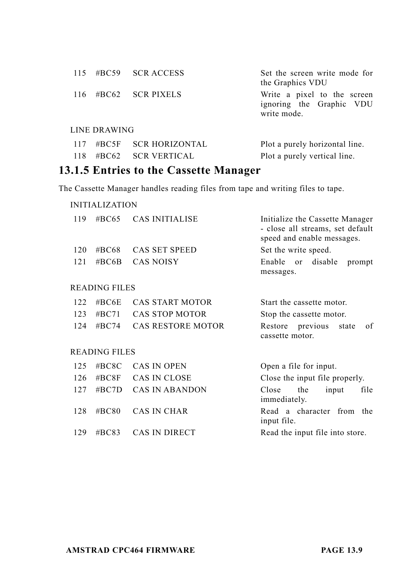|     |              | 115 #BC59 SCR ACCESS | Set the screen write mode for<br>the Graphics VDU                      |
|-----|--------------|----------------------|------------------------------------------------------------------------|
| 116 |              | $\#BC62$ SCR PIXELS  | Write a pixel to the screen<br>ignoring the Graphic VDU<br>write mode. |
|     | LINE DRAWING |                      |                                                                        |
| 117 |              | #BC5F SCR HORIZONTAL | Plot a purely horizontal line.                                         |

## 118 #BC62 SCR VERTICAL Plot a purely vertical line. **13.1.5 Entries to the Cassette Manager**

The Cassette Manager handles reading files from tape and writing files to tape.

| #BC68                        |                                                                                                                         |                                                                                                                                                           |
|------------------------------|-------------------------------------------------------------------------------------------------------------------------|-----------------------------------------------------------------------------------------------------------------------------------------------------------|
|                              | CAS SET SPEED                                                                                                           | Set the write speed.                                                                                                                                      |
| <b>CAS NOISY</b><br># $BC6B$ |                                                                                                                         | Enable<br>disable<br>or<br>prompt<br>messages.                                                                                                            |
|                              |                                                                                                                         |                                                                                                                                                           |
|                              |                                                                                                                         | Start the cassette motor.                                                                                                                                 |
|                              |                                                                                                                         | Stop the cassette motor.                                                                                                                                  |
|                              |                                                                                                                         | Restore previous<br>of<br>state<br>cassette motor.                                                                                                        |
|                              |                                                                                                                         |                                                                                                                                                           |
|                              |                                                                                                                         | Open a file for input.                                                                                                                                    |
|                              |                                                                                                                         | Close the input file properly.                                                                                                                            |
|                              |                                                                                                                         | input<br>file<br>Close<br>the<br>immediately.                                                                                                             |
|                              |                                                                                                                         | Read a character from the<br>input file.                                                                                                                  |
|                              |                                                                                                                         |                                                                                                                                                           |
|                              | <b>READING FILES</b><br># $BC6E$<br># $BC71$<br>#BC74<br><b>READING FILES</b><br>#BC8C<br>#BC8F<br>$\#BC7D$<br>$\#BC80$ | <b>CAS START MOTOR</b><br><b>CAS STOP MOTOR</b><br><b>CAS RESTORE MOTOR</b><br><b>CAS IN OPEN</b><br>CAS IN CLOSE<br><b>CAS IN ABANDON</b><br>CAS IN CHAR |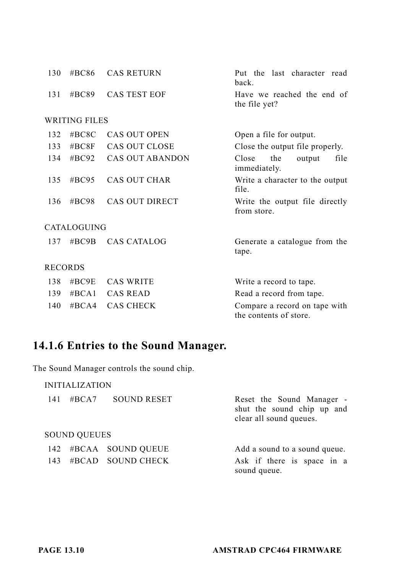| 130            | #BC86                | <b>CAS RETURN</b>   | Put the last character read<br>back.                    |
|----------------|----------------------|---------------------|---------------------------------------------------------|
| 131            | $\#BC89$             | <b>CAS TEST EOF</b> | Have we reached the end of<br>the file yet?             |
|                | <b>WRITING FILES</b> |                     |                                                         |
| 132            | #BC8C                | CAS OUT OPEN        | Open a file for output.                                 |
| 133            | #BC8F                | CAS OUT CLOSE       | Close the output file properly.                         |
| 134            | #BC92                | CAS OUT ABANDON     | Close<br>the<br>output<br>file<br>immediately.          |
| 135            | #BC95                | CAS OUT CHAR        | Write a character to the output<br>file.                |
| 136            | #BC98                | CAS OUT DIRECT      | Write the output file directly<br>from store.           |
|                | <b>CATALOGUING</b>   |                     |                                                         |
| 137            | $\#BC9B$             | <b>CAS CATALOG</b>  | Generate a catalogue from the<br>tape.                  |
| <b>RECORDS</b> |                      |                     |                                                         |
| 138            | $\#BC9E$             | <b>CAS WRITE</b>    | Write a record to tape.                                 |
| 139            | $\#BCA1$             | <b>CAS READ</b>     | Read a record from tape.                                |
| 140            | $\#BCA4$             | <b>CAS CHECK</b>    | Compare a record on tape with<br>the contents of store. |

## **14.1.6 Entries to the Sound Manager.**

The Sound Manager controls the sound chip.

| 141 | #BCA7               | <b>SOUND RESET</b>    | Reset the Sound Manager -<br>shut the sound chip up and<br>clear all sound queues. |  |  |
|-----|---------------------|-----------------------|------------------------------------------------------------------------------------|--|--|
|     | <b>SOUND QUEUES</b> |                       |                                                                                    |  |  |
|     |                     | 142 #BCAA SOUND QUEUE | Add a sound to a sound queue.                                                      |  |  |
| 143 |                     | #BCAD SOUND CHECK     | Ask if there is space in a<br>sound queue.                                         |  |  |
|     |                     |                       |                                                                                    |  |  |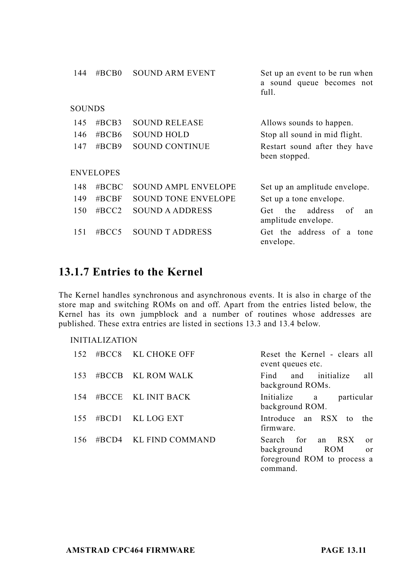| 144           | $\#BCB0$         | <b>SOUND ARM EVENT</b>     | Set up an event to be run when<br>a sound queue becomes not<br>full. |
|---------------|------------------|----------------------------|----------------------------------------------------------------------|
| <b>SOUNDS</b> |                  |                            |                                                                      |
| 145           | $\#BCB3$         | <b>SOUND RELEASE</b>       | Allows sounds to happen.                                             |
| 146           | $\#BCB6$         | <b>SOUND HOLD</b>          | Stop all sound in mid flight.                                        |
| 147           | $\#BCB9$         | <b>SOUND CONTINUE</b>      | Restart sound after they have<br>been stopped.                       |
|               | <b>ENVELOPES</b> |                            |                                                                      |
| 148           | $\#BCBC$         | <b>SOUND AMPL ENVELOPE</b> | Set up an amplitude envelope.                                        |
| 149           | $\#BCBF$         | <b>SOUND TONE ENVELOPE</b> | Set up a tone envelope.                                              |
| 150           | $\#$ BCC2        | SOUND A ADDRESS            | address<br>of<br>the<br>Get<br>an<br>amplitude envelope.             |
| 151           | # $BCC5$         | <b>SOUND T ADDRESS</b>     | Get the address of a tone<br>envelope.                               |

## **13.1.7 Entries to the Kernel**

The Kernel handles synchronous and asynchronous events. It is also in charge of the store map and switching ROMs on and off. Apart from the entries listed below, the Kernel has its own jumpblock and a number of routines whose addresses are published. These extra entries are listed in sections 13.3 and 13.4 below.

| 152 | #BCC8 KL CHOKE OFF    | Reset the Kernel - clears all<br>event queues etc.                                         |
|-----|-----------------------|--------------------------------------------------------------------------------------------|
| 153 | #BCCB KL ROM WALK     | and initialize<br>all<br>Find<br>background ROMs.                                          |
| 154 | $\#BCCE$ KL INIT BACK | Initialize a<br>particular<br>background ROM.                                              |
| 155 | #BCD1 KL LOG EXT      | Introduce an RSX to the<br>firmware.                                                       |
| 156 | #BCD4 KL FIND COMMAND | Search for an RSX<br>or<br>background ROM<br>or<br>foreground ROM to process a<br>command. |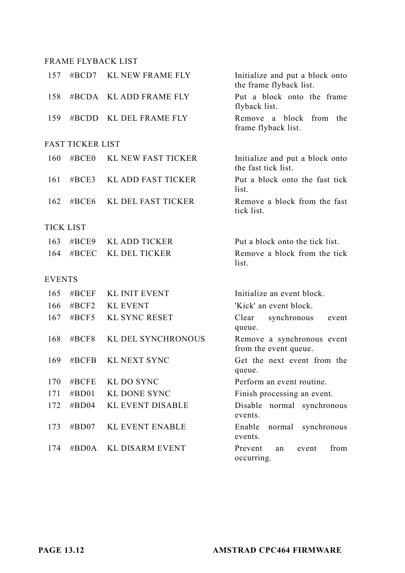#### FRAME FLYBACK LIST

| 157           | $\#BCD7$                | <b>KL NEW FRAME FLY</b>   | Initialize and put a block onto<br>the frame flyback list. |
|---------------|-------------------------|---------------------------|------------------------------------------------------------|
| 158           | #BCDA                   | <b>KL ADD FRAME FLY</b>   | Put a block onto the frame<br>flyback list.                |
| 159           | #BCDD                   | KL DEL FRAME FLY          | Remove a block<br>from<br>the<br>frame flyback list.       |
|               | <b>FAST TICKER LIST</b> |                           |                                                            |
| 160           | #BCE0                   | <b>KL NEW FAST TICKER</b> | Initialize and put a block onto<br>the fast tick list.     |
| 161           | #BCE3                   | <b>KL ADD FAST TICKER</b> | Put a block onto the fast tick<br>list.                    |
| 162           | #BCE6                   | KL DEL FAST TICKER        | Remove a block from the fast<br>tick list.                 |
|               | <b>TICK LIST</b>        |                           |                                                            |
| 163           | #BCE9                   | <b>KL ADD TICKER</b>      | Put a block onto the tick list.                            |
| 164           | #BCEC                   | KL DEL TICKER             | Remove a block from the tick<br>list.                      |
| <b>EVENTS</b> |                         |                           |                                                            |
| 165           | $\#$ BCEF               | <b>KL INIT EVENT</b>      | Initialize an event block.                                 |
| 166           | #BCF2                   | <b>KL EVENT</b>           | 'Kick' an event block.                                     |
| 167           | #BCF5                   | <b>KL SYNC RESET</b>      | Clear<br>synchronous<br>event<br>queue.                    |
| 168           | #BCF8                   | KL DEL SYNCHRONOUS        | Remove a synchronous event<br>from the event queue.        |
| 169           | $\#BCFB$                | <b>KL NEXT SYNC</b>       | Get the next event from the<br>queue.                      |
| 170           | #BCFE                   | KL DO SYNC                | Perform an event routine.                                  |
| 171           | #BDO1                   | <b>KL DONE SYNC</b>       | Finish processing an event.                                |
| 172           | #BD04                   | <b>KL EVENT DISABLE</b>   | Disable<br>normal synchronous<br>events.                   |
| 173           | $\#BDO7$                | <b>KL EVENT ENABLE</b>    | Enable<br>normal<br>synchronous<br>events.                 |
| 174           | $\#BDOA$                | <b>KL DISARM EVENT</b>    | Prevent<br>from<br>event<br>an<br>occurring.               |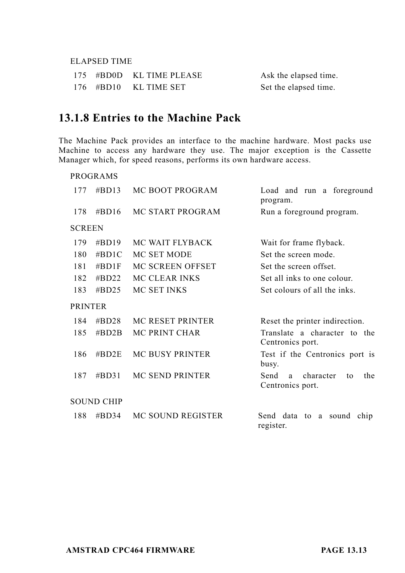#### ELAPSED TIME

|  | 175 #BD0D KL TIME PLEASE | Ask the elapsed time. |
|--|--------------------------|-----------------------|
|  | 176 #BD10 KL TIME SET    | Set the elapsed time. |

## **13.1.8 Entries to the Machine Pack**

The Machine Pack provides an interface to the machine hardware. Most packs use Machine to access any hardware they use. The major exception is the Cassette Manager which, for speed reasons, performs its own hardware access.

|                | <b>PROGRAMS</b>   |                         |                                                         |
|----------------|-------------------|-------------------------|---------------------------------------------------------|
| 177            | $\#BD13$          | MC BOOT PROGRAM         | Load and run a foreground<br>program.                   |
| 178            | #BD16             | MC START PROGRAM        | Run a foreground program.                               |
| <b>SCREEN</b>  |                   |                         |                                                         |
| 179            | #BD19             | MC WAIT FLYBACK         | Wait for frame flyback.                                 |
| 180            | #BD1C             | MC SET MODE             | Set the screen mode.                                    |
| 181            | $\#BD1F$          | MC SCREEN OFFSET        | Set the screen offset.                                  |
| 182            | #BD22             | MC CLEAR INKS           | Set all inks to one colour.                             |
| 183            | $\#$ BD25         | MC SET INKS             | Set colours of all the inks.                            |
| <b>PRINTER</b> |                   |                         |                                                         |
| 184            | $\#$ BD28         | <b>MC RESET PRINTER</b> | Reset the printer indirection.                          |
| 185            | $\#BD2B$          | <b>MC PRINT CHAR</b>    | Translate a character to the<br>Centronics port.        |
| 186            | $\#BD2E$          | <b>MC BUSY PRINTER</b>  | Test if the Centronics port is<br>busy.                 |
| 187            | $\#$ BD31         | MC SEND PRINTER         | Send<br>character<br>the<br>a<br>to<br>Centronics port. |
|                | <b>SOUND CHIP</b> |                         |                                                         |
| 188            | #BD34             | MC SOUND REGISTER       | Send data to a sound<br>chip<br>register.               |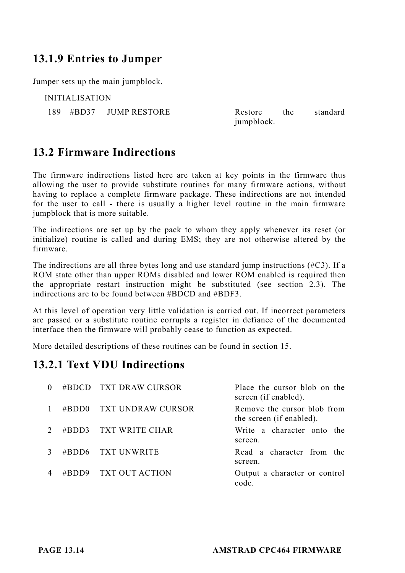### **13.1.9 Entries to Jumper**

Jumper sets up the main jumpblock.

INITIALISATION

189 #BD37 JUMP RESTORE Restore the standard jumpblock.

### **13.2 Firmware Indirections**

The firmware indirections listed here are taken at key points in the firmware thus allowing the user to provide substitute routines for many firmware actions, without having to replace a complete firmware package. These indirections are not intended for the user to call - there is usually a higher level routine in the main firmware jumpblock that is more suitable.

The indirections are set up by the pack to whom they apply whenever its reset (or initialize) routine is called and during EMS; they are not otherwise altered by the firmware.

The indirections are all three bytes long and use standard jump instructions (#C3). If a ROM state other than upper ROMs disabled and lower ROM enabled is required then the appropriate restart instruction might be substituted (see section 2.3). The indirections are to be found between #BDCD and #BDF3.

At this level of operation very little validation is carried out. If incorrect parameters are passed or a substitute routine corrupts a register in defiance of the documented interface then the firmware will probably cease to function as expected.

More detailed descriptions of these routines can be found in section 15.

### **13.2.1 Text VDU Indirections**

|          | #BDCD TXT DRAW CURSOR | Place the cursor blob on the<br>screen (if enabled).    |
|----------|-----------------------|---------------------------------------------------------|
| #BDD $0$ | - TXT UNDRAW CURSOR   | Remove the cursor blob from<br>the screen (if enabled). |
| #BDD3    | TXT WRITE CHAR        | Write a character onto the<br>screen.                   |
|          | #BDD6 TXT UNWRITE     | Read a character from the<br>screen.                    |
| #BDD9    | TXT OUT ACTION        | Output a character or control<br>code.                  |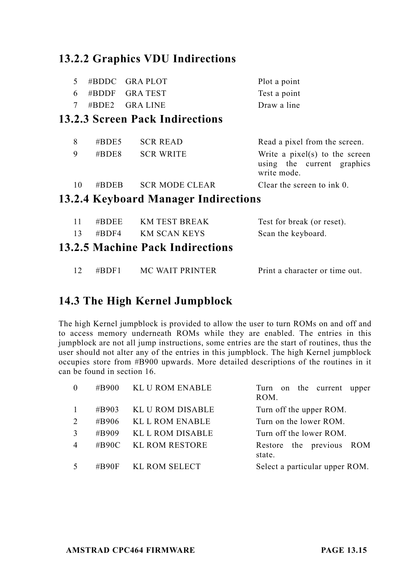## **13.2.2 Graphics VDU Indirections**

|                                        |  | $5 \# \text{BDDC}$ GRAPLOT | Plot a point |  |  |
|----------------------------------------|--|----------------------------|--------------|--|--|
|                                        |  | $6 \#BDDF$ GRATEST         | Test a point |  |  |
|                                        |  | 7 #BDE2 GRALINE            | Draw a line  |  |  |
| <b>13.2.3 Screen Pack Indirections</b> |  |                            |              |  |  |

| 10 | #BDEB | – SCR MODE CLEAR | Clear the screen to ink 0.                |
|----|-------|------------------|-------------------------------------------|
|    |       |                  | using the current graphics<br>write mode. |
|    | #BDE8 | <b>SCR WRITE</b> | Write a pixel(s) to the screen            |
| 8  | #BDE5 | <b>SCR READ</b>  | Read a pixel from the screen.             |
|    |       |                  |                                           |

### **13.2.4 Keyboard Manager Indirections**

| 11. | $\#B$ DEE KM TEST BREAK                 | Test for break (or reset).     |
|-----|-----------------------------------------|--------------------------------|
| 13  | $\#BDF4$ KM SCAN KEYS                   | Scan the keyboard.             |
|     | <b>13.2.5 Machine Pack Indirections</b> |                                |
|     | $\#BDF1$ MC WAIT PRINTER                | Print a character or time out. |

## **14.3 The High Kernel Jumpblock**

The high Kernel jumpblock is provided to allow the user to turn ROMs on and off and to access memory underneath ROMs while they are enabled. The entries in this jumpblock are not all jump instructions, some entries are the start of routines, thus the user should not alter any of the entries in this jumpblock. The high Kernel jumpblock occupies store from #B900 upwards. More detailed descriptions of the routines in it can be found in section 16.

| $\Omega$     |       | #B900 KL U ROM ENABLE | Turn on the current upper<br>ROM.  |
|--------------|-------|-----------------------|------------------------------------|
| $\mathbf{1}$ | #B903 | KL U ROM DISABLE      | Turn off the upper ROM.            |
| 2            | #B906 | KL L ROM ENABLE       | Turn on the lower ROM.             |
| 3            | #B909 | KL L ROM DISABLE      | Turn off the lower ROM.            |
| 4            | #B90C | KL ROM RESTORE        | Restore the previous ROM<br>state. |
| 5            | #B90F | KL ROM SELECT         | Select a particular upper ROM.     |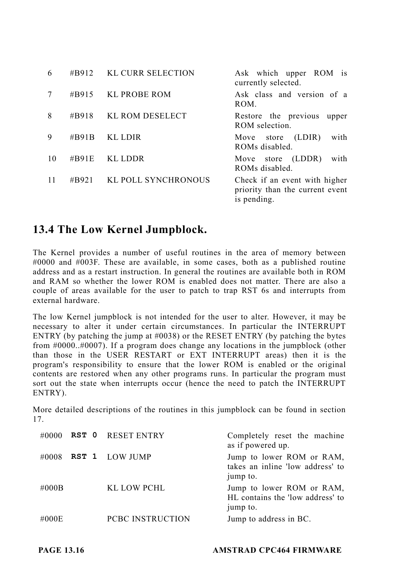| 6  | #B912    | KL CURR SELECTION   | Ask which upper ROM is<br>currently selected.                                   |
|----|----------|---------------------|---------------------------------------------------------------------------------|
|    | #B915    | <b>KL PROBE ROM</b> | Ask class and version of a<br>ROM.                                              |
| 8  | #B918    | KL ROM DESELECT     | Restore the previous<br>upper<br>ROM selection.                                 |
| 9  | #B91B    | KL LDIR             | store (LDIR)<br>with<br>Move<br>ROMs disabled.                                  |
| 10 | $\#B91E$ | KL LDDR             | Move store (LDDR)<br>with<br>ROMs disabled.                                     |
| 11 | #B921    | KL POLL SYNCHRONOUS | Check if an event with higher<br>priority than the current event<br>is pending. |

### **13.4 The Low Kernel Jumpblock.**

The Kernel provides a number of useful routines in the area of memory between #0000 and #003F. These are available, in some cases, both as a published routine address and as a restart instruction. In general the routines are available both in ROM and RAM so whether the lower ROM is enabled does not matter. There are also a couple of areas available for the user to patch to trap RST 6s and interrupts from external hardware.

The low Kernel jumpblock is not intended for the user to alter. However, it may be necessary to alter it under certain circumstances. In particular the INTERRUPT ENTRY (by patching the jump at #0038) or the RESET ENTRY (by patching the bytes from #0000..#0007). If a program does change any locations in the jumpblock (other than those in the USER RESTART or EXT INTERRUPT areas) then it is the program's responsibility to ensure that the lower ROM is enabled or the original contents are restored when any other programs runs. In particular the program must sort out the state when interrupts occur (hence the need to patch the INTERRUPT ENTRY).

More detailed descriptions of the routines in this jumpblock can be found in section 17.

|       | $\#0000$ RST 0 RESET ENTRY | Completely reset the machine<br>as if powered up.                         |
|-------|----------------------------|---------------------------------------------------------------------------|
| #0008 | RST 1 LOW JUMP             | Jump to lower ROM or RAM,<br>takes an inline 'low address' to<br>jump to. |
| #000B | KL LOW PCHL                | Jump to lower ROM or RAM,<br>HL contains the 'low address' to<br>jump to. |
| #000E | PCBC INSTRUCTION           | Jump to address in BC.                                                    |

**PAGE 13.16 AMSTRAD CPC464 FIRMWARE**